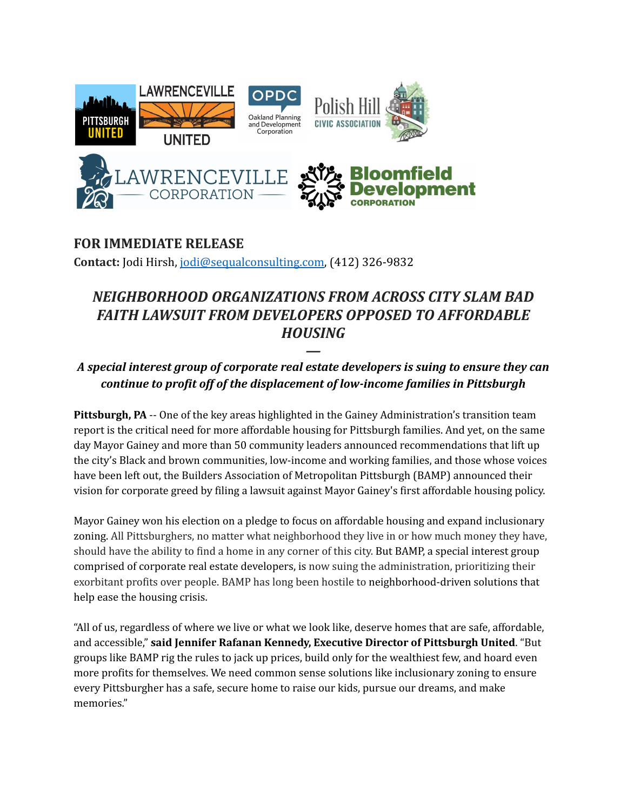

## **FOR IMMEDIATE RELEASE Contact:** Jodi Hirsh, [jodi@sequalconsulting.com,](mailto:jodi@sequalconsulting.com) (412) 326-9832

## *NEIGHBORHOOD ORGANIZATIONS FROM ACROSS CITY SLAM BAD FAITH LAWSUIT FROM DEVELOPERS OPPOSED TO AFFORDABLE HOUSING*

## *— A special interest group of corporate real estate developers is suing to ensure they can continue to profit off of the displacement of low-income families in Pittsburgh*

**Pittsburgh, PA** -- One of the key areas highlighted in the Gainey Administration's transition team report is the critical need for more affordable housing for Pittsburgh families. And yet, on the same day Mayor Gainey and more than 50 community leaders announced recommendations that lift up the city's Black and brown communities, low-income and working families, and those whose voices have been left out, the Builders Association of Metropolitan Pittsburgh (BAMP) announced their vision for corporate greed by filing a lawsuit against Mayor Gainey's first affordable housing policy.

Mayor Gainey won his election on a pledge to focus on affordable housing and expand inclusionary zoning. All Pittsburghers, no matter what neighborhood they live in or how much money they have, should have the ability to find a home in any corner of this city. But BAMP, a special interest group comprised of corporate real estate developers, is now suing the administration, prioritizing their exorbitant profits over people. BAMP has long been hostile to neighborhood-driven solutions that help ease the housing crisis.

"All of us, regardless of where we live or what we look like, deserve homes that are safe, affordable, and accessible," **said Jennifer Rafanan Kennedy, Executive Director of Pittsburgh United**. "But groups like BAMP rig the rules to jack up prices, build only for the wealthiest few, and hoard even more profits for themselves. We need common sense solutions like inclusionary zoning to ensure every Pittsburgher has a safe, secure home to raise our kids, pursue our dreams, and make memories."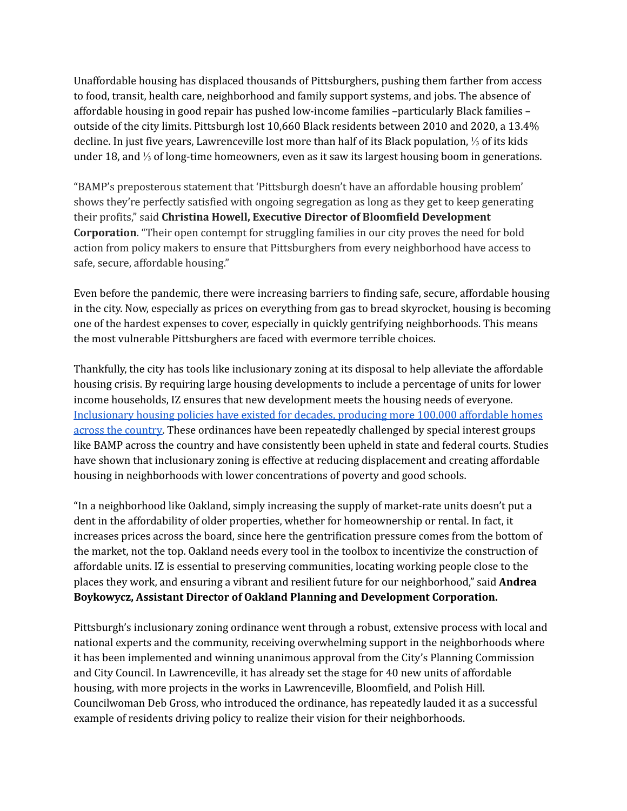Unaffordable housing has displaced thousands of Pittsburghers, pushing them farther from access to food, transit, health care, neighborhood and family support systems, and jobs. The absence of affordable housing in good repair has pushed low-income families –particularly Black families – outside of the city limits. Pittsburgh lost 10,660 Black residents between 2010 and 2020, a 13.4% decline. In just five years, Lawrenceville lost more than half of its Black population, ⅓ of its kids under 18, and ⅓ of long-time homeowners, even as it saw its largest housing boom in generations.

"BAMP's preposterous statement that 'Pittsburgh doesn't have an affordable housing problem' shows they're perfectly satisfied with ongoing segregation as long as they get to keep generating their profits," said **Christina Howell, Executive Director of Bloomfield Development Corporation**. "Their open contempt for struggling families in our city proves the need for bold action from policy makers to ensure that Pittsburghers from every neighborhood have access to safe, secure, affordable housing."

Even before the pandemic, there were increasing barriers to finding safe, secure, affordable housing in the city. Now, especially as prices on everything from gas to bread skyrocket, housing is becoming one of the hardest expenses to cover, especially in quickly gentrifying neighborhoods. This means the most vulnerable Pittsburghers are faced with evermore terrible choices.

Thankfully, the city has tools like inclusionary zoning at its disposal to help alleviate the affordable housing crisis. By requiring large housing developments to include a percentage of units for lower income households, IZ ensures that new development meets the housing needs of everyone. [Inclusionary](https://groundedsolutions.org/sites/default/files/2021-01/Inclusionary_Housing_US_v1_0.pdf) housing policies have existed for decades, producing more 100,000 affordable homes across the [country.](https://groundedsolutions.org/sites/default/files/2021-01/Inclusionary_Housing_US_v1_0.pdf) These ordinances have been repeatedly challenged by special interest groups like BAMP across the country and have consistently been upheld in state and federal courts. Studies have shown that inclusionary zoning is effective at reducing displacement and creating affordable housing in neighborhoods with lower concentrations of poverty and good schools.

"In a neighborhood like Oakland, simply increasing the supply of market-rate units doesn't put a dent in the affordability of older properties, whether for homeownership or rental. In fact, it increases prices across the board, since here the gentrification pressure comes from the bottom of the market, not the top. Oakland needs every tool in the toolbox to incentivize the construction of affordable units. IZ is essential to preserving communities, locating working people close to the places they work, and ensuring a vibrant and resilient future for our neighborhood," said **Andrea Boykowycz, Assistant Director of Oakland Planning and Development Corporation.**

Pittsburgh's inclusionary zoning ordinance went through a robust, extensive process with local and national experts and the community, receiving overwhelming support in the neighborhoods where it has been implemented and winning unanimous approval from the City's Planning Commission and City Council. In Lawrenceville, it has already set the stage for 40 new units of affordable housing, with more projects in the works in Lawrenceville, Bloomfield, and Polish Hill. Councilwoman Deb Gross, who introduced the ordinance, has repeatedly lauded it as a successful example of residents driving policy to realize their vision for their neighborhoods.